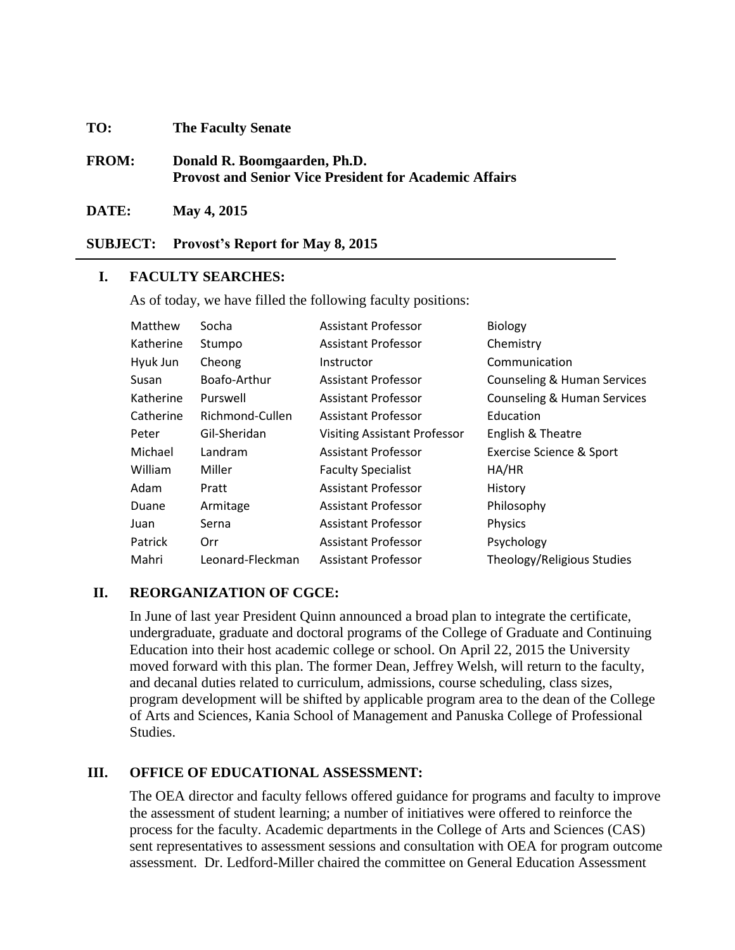#### **TO: The Faculty Senate**

**FROM: Donald R. Boomgaarden, Ph.D. Provost and Senior Vice President for Academic Affairs**

**DATE: May 4, 2015**

**SUBJECT: Provost's Report for May 8, 2015**

### **I. FACULTY SEARCHES:**

As of today, we have filled the following faculty positions:

| Matthew   | Socha            | <b>Assistant Professor</b>          | <b>Biology</b>                         |
|-----------|------------------|-------------------------------------|----------------------------------------|
| Katherine | Stumpo           | <b>Assistant Professor</b>          | Chemistry                              |
| Hyuk Jun  | Cheong           | Instructor                          | Communication                          |
| Susan     | Boafo-Arthur     | <b>Assistant Professor</b>          | Counseling & Human Services            |
| Katherine | Purswell         | <b>Assistant Professor</b>          | <b>Counseling &amp; Human Services</b> |
| Catherine | Richmond-Cullen  | Assistant Professor                 | Education                              |
| Peter     | Gil-Sheridan     | <b>Visiting Assistant Professor</b> | English & Theatre                      |
| Michael   | Landram          | Assistant Professor                 | Exercise Science & Sport               |
| William   | Miller           | <b>Faculty Specialist</b>           | HA/HR                                  |
| Adam      | Pratt            | <b>Assistant Professor</b>          | History                                |
| Duane     | Armitage         | <b>Assistant Professor</b>          | Philosophy                             |
| Juan      | Serna            | <b>Assistant Professor</b>          | Physics                                |
| Patrick   | Orr              | <b>Assistant Professor</b>          | Psychology                             |
| Mahri     | Leonard-Fleckman | <b>Assistant Professor</b>          | Theology/Religious Studies             |

#### **II. REORGANIZATION OF CGCE:**

In June of last year President Quinn announced a broad plan to integrate the certificate, undergraduate, graduate and doctoral programs of the College of Graduate and Continuing Education into their host academic college or school. On April 22, 2015 the University moved forward with this plan. The former Dean, Jeffrey Welsh, will return to the faculty, and decanal duties related to curriculum, admissions, course scheduling, class sizes, program development will be shifted by applicable program area to the dean of the College of Arts and Sciences, Kania School of Management and Panuska College of Professional **Studies** 

# **III. OFFICE OF EDUCATIONAL ASSESSMENT:**

The OEA director and faculty fellows offered guidance for programs and faculty to improve the assessment of student learning; a number of initiatives were offered to reinforce the process for the faculty. Academic departments in the College of Arts and Sciences (CAS) sent representatives to assessment sessions and consultation with OEA for program outcome assessment. Dr. Ledford-Miller chaired the committee on General Education Assessment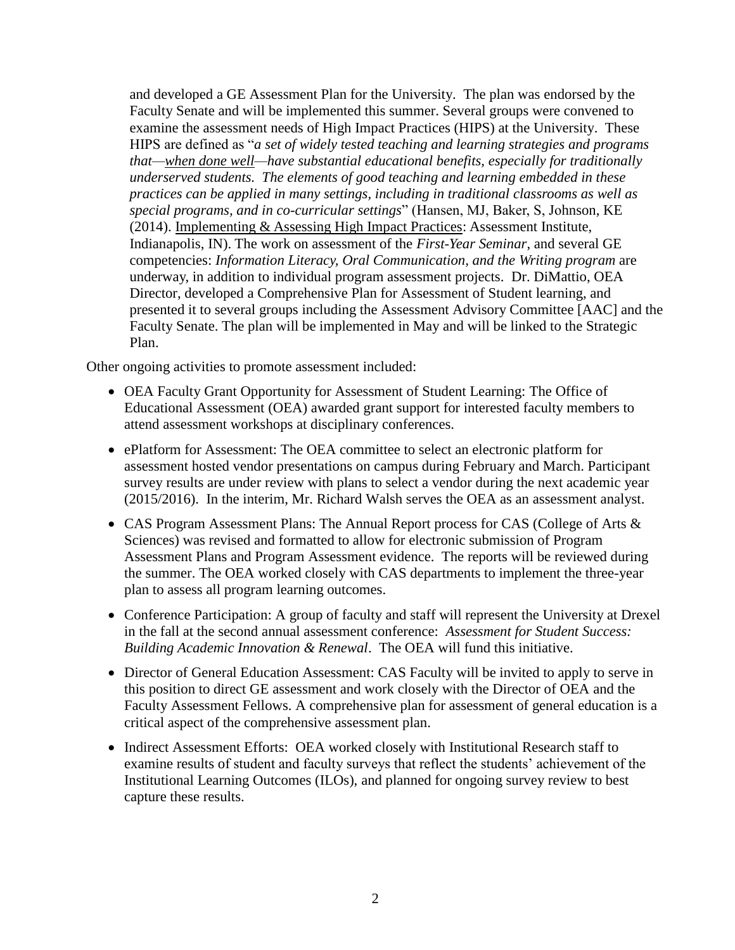and developed a GE Assessment Plan for the University. The plan was endorsed by the Faculty Senate and will be implemented this summer. Several groups were convened to examine the assessment needs of High Impact Practices (HIPS) at the University. These HIPS are defined as "*a set of widely tested teaching and learning strategies and programs that—when done well—have substantial educational benefits, especially for traditionally underserved students. The elements of good teaching and learning embedded in these practices can be applied in many settings, including in traditional classrooms as well as special programs, and in co-curricular settings*" (Hansen, MJ, Baker, S, Johnson, KE (2014). Implementing & Assessing High Impact Practices: Assessment Institute, Indianapolis, IN). The work on assessment of the *First-Year Seminar*, and several GE competencies: *Information Literacy, Oral Communication, and the Writing program* are underway, in addition to individual program assessment projects. Dr. DiMattio, OEA Director, developed a Comprehensive Plan for Assessment of Student learning, and presented it to several groups including the Assessment Advisory Committee [AAC] and the Faculty Senate. The plan will be implemented in May and will be linked to the Strategic Plan.

Other ongoing activities to promote assessment included:

- OEA Faculty Grant Opportunity for Assessment of Student Learning: The Office of Educational Assessment (OEA) awarded grant support for interested faculty members to attend assessment workshops at disciplinary conferences.
- ePlatform for Assessment: The OEA committee to select an electronic platform for assessment hosted vendor presentations on campus during February and March. Participant survey results are under review with plans to select a vendor during the next academic year (2015/2016). In the interim, Mr. Richard Walsh serves the OEA as an assessment analyst.
- CAS Program Assessment Plans: The Annual Report process for CAS (College of Arts & Sciences) was revised and formatted to allow for electronic submission of Program Assessment Plans and Program Assessment evidence. The reports will be reviewed during the summer. The OEA worked closely with CAS departments to implement the three-year plan to assess all program learning outcomes.
- Conference Participation: A group of faculty and staff will represent the University at Drexel in the fall at the second annual assessment conference: *Assessment for Student Success: Building Academic Innovation & Renewal*. The OEA will fund this initiative.
- Director of General Education Assessment: CAS Faculty will be invited to apply to serve in this position to direct GE assessment and work closely with the Director of OEA and the Faculty Assessment Fellows. A comprehensive plan for assessment of general education is a critical aspect of the comprehensive assessment plan.
- Indirect Assessment Efforts: OEA worked closely with Institutional Research staff to examine results of student and faculty surveys that reflect the students' achievement of the Institutional Learning Outcomes (ILOs), and planned for ongoing survey review to best capture these results.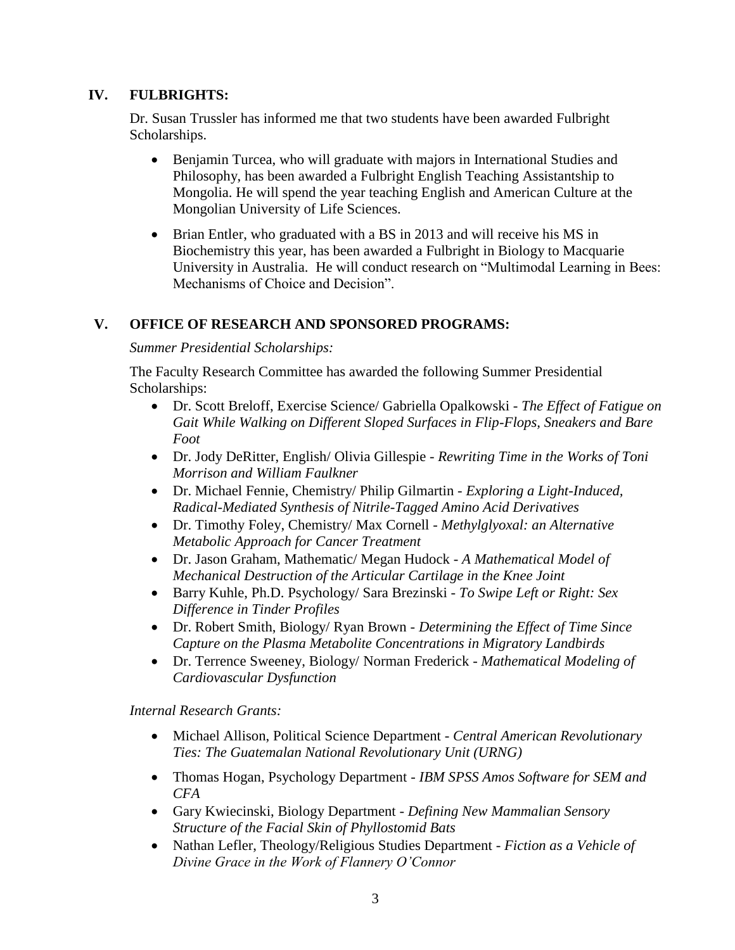# **IV. FULBRIGHTS:**

Dr. Susan Trussler has informed me that two students have been awarded Fulbright Scholarships.

- Benjamin Turcea, who will graduate with majors in International Studies and Philosophy, has been awarded a Fulbright English Teaching Assistantship to Mongolia. He will spend the year teaching English and American Culture at the Mongolian University of Life Sciences.
- Brian Entler, who graduated with a BS in 2013 and will receive his MS in Biochemistry this year, has been awarded a Fulbright in Biology to Macquarie University in Australia. He will conduct research on "Multimodal Learning in Bees: Mechanisms of Choice and Decision".

# **V. OFFICE OF RESEARCH AND SPONSORED PROGRAMS:**

## *Summer Presidential Scholarships:*

The Faculty Research Committee has awarded the following Summer Presidential Scholarships:

- Dr. Scott Breloff, Exercise Science/ Gabriella Opalkowski *The Effect of Fatigue on Gait While Walking on Different Sloped Surfaces in Flip-Flops, Sneakers and Bare Foot*
- Dr. Jody DeRitter, English/ Olivia Gillespie *Rewriting Time in the Works of Toni Morrison and William Faulkner*
- Dr. Michael Fennie, Chemistry/ Philip Gilmartin *Exploring a Light-Induced, Radical-Mediated Synthesis of Nitrile-Tagged Amino Acid Derivatives*
- Dr. Timothy Foley, Chemistry/ Max Cornell *Methylglyoxal: an Alternative Metabolic Approach for Cancer Treatment*
- Dr. Jason Graham, Mathematic/ Megan Hudock *A Mathematical Model of Mechanical Destruction of the Articular Cartilage in the Knee Joint*
- Barry Kuhle, Ph.D. Psychology/ Sara Brezinski *To Swipe Left or Right: Sex Difference in Tinder Profiles*
- Dr. Robert Smith, Biology/ Ryan Brown *Determining the Effect of Time Since Capture on the Plasma Metabolite Concentrations in Migratory Landbirds*
- Dr. Terrence Sweeney, Biology/ Norman Frederick *Mathematical Modeling of Cardiovascular Dysfunction*

*Internal Research Grants:*

- Michael Allison, Political Science Department *Central American Revolutionary Ties: The Guatemalan National Revolutionary Unit (URNG)*
- Thomas Hogan, Psychology Department *IBM SPSS Amos Software for SEM and CFA*
- Gary Kwiecinski, Biology Department *Defining New Mammalian Sensory Structure of the Facial Skin of Phyllostomid Bats*
- Nathan Lefler, Theology/Religious Studies Department *Fiction as a Vehicle of Divine Grace in the Work of Flannery O'Connor*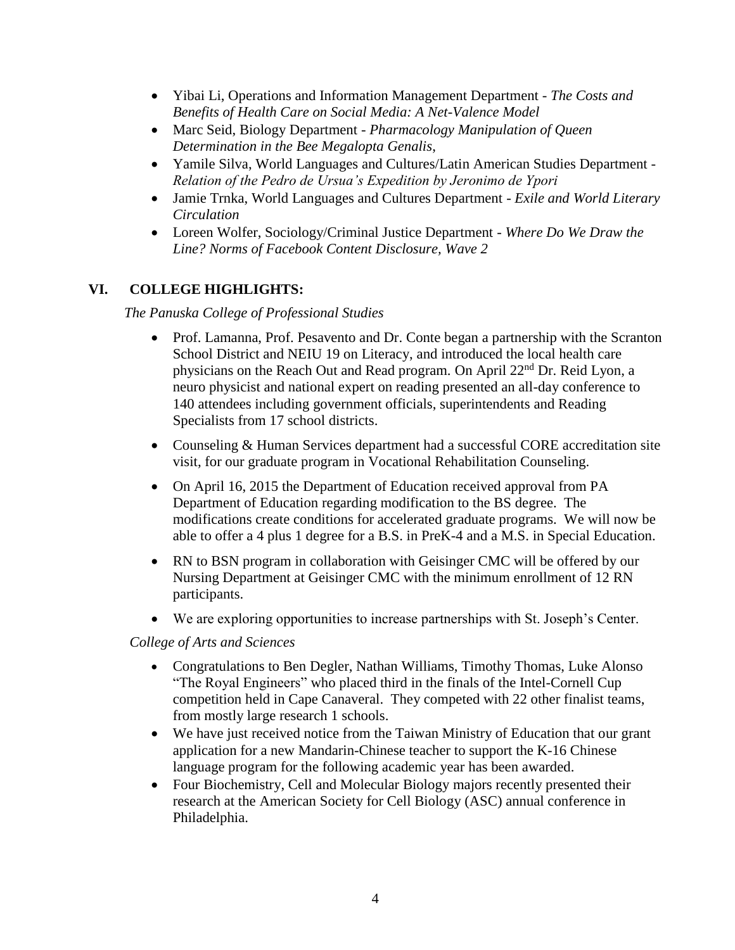- Yibai Li, Operations and Information Management Department *The Costs and Benefits of Health Care on Social Media: A Net-Valence Model*
- Marc Seid, Biology Department *Pharmacology Manipulation of Queen Determination in the Bee Megalopta Genalis*,
- Yamile Silva, World Languages and Cultures/Latin American Studies Department *Relation of the Pedro de Ursua's Expedition by Jeronimo de Ypori*
- Jamie Trnka, World Languages and Cultures Department *Exile and World Literary Circulation*
- Loreen Wolfer, Sociology/Criminal Justice Department *Where Do We Draw the Line? Norms of Facebook Content Disclosure, Wave 2*

# **VI. COLLEGE HIGHLIGHTS:**

*The Panuska College of Professional Studies*

- Prof. Lamanna, Prof. Pesavento and Dr. Conte began a partnership with the Scranton School District and NEIU 19 on Literacy, and introduced the local health care physicians on the Reach Out and Read program. On April 22nd Dr. Reid Lyon, a neuro physicist and national expert on reading presented an all-day conference to 140 attendees including government officials, superintendents and Reading Specialists from 17 school districts.
- Counseling & Human Services department had a successful CORE accreditation site visit, for our graduate program in Vocational Rehabilitation Counseling.
- On April 16, 2015 the Department of Education received approval from PA Department of Education regarding modification to the BS degree. The modifications create conditions for accelerated graduate programs. We will now be able to offer a 4 plus 1 degree for a B.S. in PreK-4 and a M.S. in Special Education.
- RN to BSN program in collaboration with Geisinger CMC will be offered by our Nursing Department at Geisinger CMC with the minimum enrollment of 12 RN participants.
- We are exploring opportunities to increase partnerships with St. Joseph's Center.

## *College of Arts and Sciences*

- Congratulations to Ben Degler, Nathan Williams, Timothy Thomas, Luke Alonso "The Royal Engineers" who placed third in the finals of the Intel-Cornell Cup competition held in Cape Canaveral. They competed with 22 other finalist teams, from mostly large research 1 schools.
- We have just received notice from the Taiwan Ministry of Education that our grant application for a new Mandarin-Chinese teacher to support the K-16 Chinese language program for the following academic year has been awarded.
- Four Biochemistry, Cell and Molecular Biology majors recently presented their research at the American Society for Cell Biology (ASC) annual conference in Philadelphia.